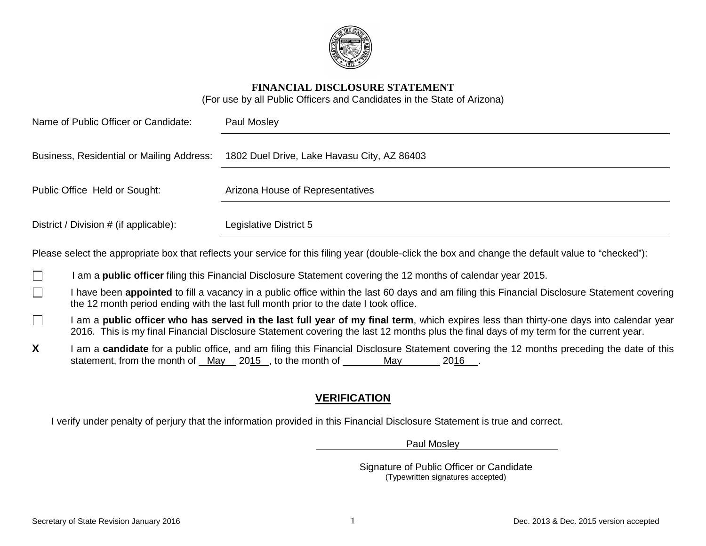

#### **FINANCIAL DISCLOSURE STATEMENT**

(For use by all Public Officers and Candidates in the State of Arizona)

| Name of Public Officer or Candidate:      | Paul Mosley                                 |  |
|-------------------------------------------|---------------------------------------------|--|
| Business, Residential or Mailing Address: | 1802 Duel Drive, Lake Havasu City, AZ 86403 |  |
| Public Office Held or Sought:             | Arizona House of Representatives            |  |
| District / Division # (if applicable):    | Legislative District 5                      |  |

Please select the appropriate box that reflects your service for this filing year (double-click the box and change the default value to "checked"):

- I am a **public officer** filing this Financial Disclosure Statement covering the 12 months of calendar year 2015.  $\mathbf{I}$
- I have been **appointed** to fill a vacancy in a public office within the last 60 days and am filing this Financial Disclosure Statement covering П the 12 month period ending with the last full month prior to the date I took office.
- I am a **public officer who has served in the last full year of my final term**, which expires less than thirty-one days into calendar year  $\Box$ 2016. This is my final Financial Disclosure Statement covering the last 12 months plus the final days of my term for the current year.
- X I am a **candidate** for a public office, and am filing this Financial Disclosure Statement covering the 12 months preceding the date of this statement, from the month of May 2015, to the month of May 2016.

## **VERIFICATION**

I verify under penalty of perjury that the information provided in this Financial Disclosure Statement is true and correct.

Paul Mosley

Signature of Public Officer or Candidate (Typewritten signatures accepted)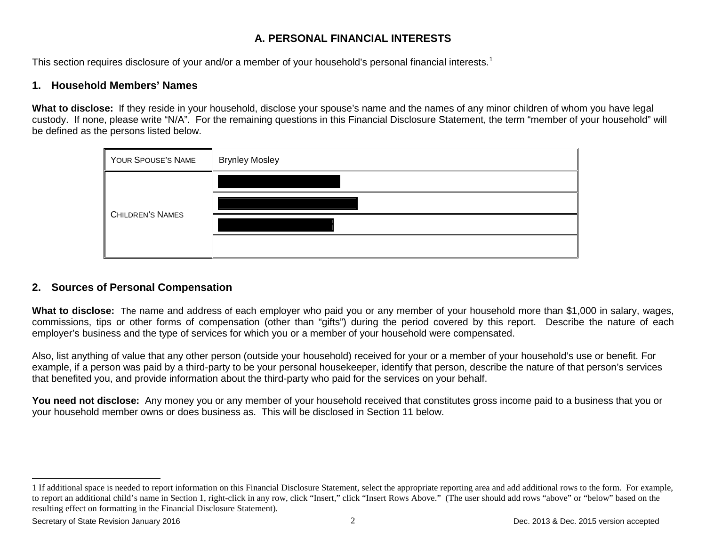### <span id="page-1-0"></span>**A. PERSONAL FINANCIAL INTERESTS**

This section requires disclosure of your and/or a member of your household's personal financial interests.<sup>[1](#page-1-0)</sup>

#### **1. Household Members' Names**

**What to disclose:** If they reside in your household, disclose your spouse's name and the names of any minor children of whom you have legal custody. If none, please write "N/A". For the remaining questions in this Financial Disclosure Statement, the term "member of your household" will be defined as the persons listed below.



### **2. Sources of Personal Compensation**

**What to disclose:** The name and address of each employer who paid you or any member of your household more than \$1,000 in salary, wages, commissions, tips or other forms of compensation (other than "gifts") during the period covered by this report. Describe the nature of each employer's business and the type of services for which you or a member of your household were compensated.

Also, list anything of value that any other person (outside your household) received for your or a member of your household's use or benefit. For example, if a person was paid by a third-party to be your personal housekeeper, identify that person, describe the nature of that person's services that benefited you, and provide information about the third-party who paid for the services on your behalf.

**You need not disclose:** Any money you or any member of your household received that constitutes gross income paid to a business that you or your household member owns or does business as. This will be disclosed in Section 11 below.

 $\overline{a}$ 

<sup>1</sup> If additional space is needed to report information on this Financial Disclosure Statement, select the appropriate reporting area and add additional rows to the form. For example, to report an additional child's name in Section 1, right-click in any row, click "Insert," click "Insert Rows Above." (The user should add rows "above" or "below" based on the resulting effect on formatting in the Financial Disclosure Statement).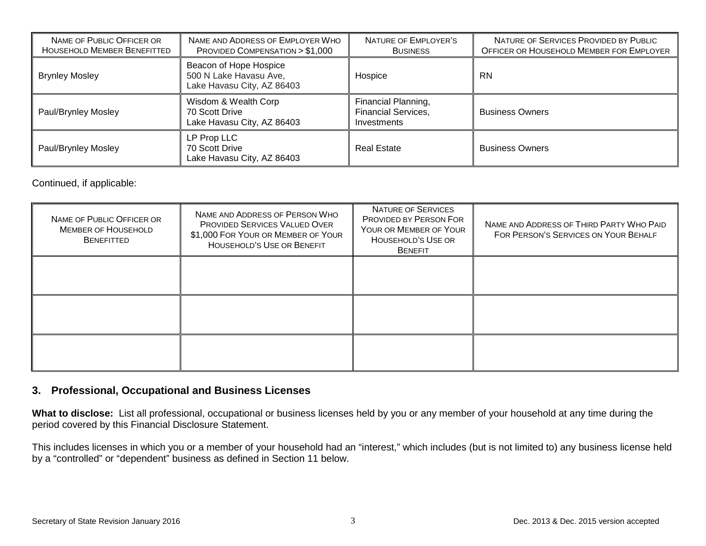| NAME OF PUBLIC OFFICER OR<br>HOUSEHOLD MEMBER BENEFITTED | NAME AND ADDRESS OF EMPLOYER WHO<br>PROVIDED COMPENSATION > \$1,000            | NATURE OF EMPLOYER'S<br><b>BUSINESS</b>                          | NATURE OF SERVICES PROVIDED BY PUBLIC<br>OFFICER OR HOUSEHOLD MEMBER FOR EMPLOYER |
|----------------------------------------------------------|--------------------------------------------------------------------------------|------------------------------------------------------------------|-----------------------------------------------------------------------------------|
| <b>Brynley Mosley</b>                                    | Beacon of Hope Hospice<br>500 N Lake Havasu Ave,<br>Lake Havasu City, AZ 86403 | Hospice                                                          | <b>RN</b>                                                                         |
| Paul/Brynley Mosley                                      | Wisdom & Wealth Corp<br>70 Scott Drive<br>Lake Havasu City, AZ 86403           | Financial Planning,<br><b>Financial Services,</b><br>Investments | <b>Business Owners</b>                                                            |
| Paul/Brynley Mosley                                      | LP Prop LLC<br>70 Scott Drive<br>Lake Havasu City, AZ 86403                    | <b>Real Estate</b>                                               | <b>Business Owners</b>                                                            |

Continued, if applicable:

| NAME OF PUBLIC OFFICER OR<br><b>MEMBER OF HOUSEHOLD</b><br><b>BENEFITTED</b> | NAME AND ADDRESS OF PERSON WHO<br><b>PROVIDED SERVICES VALUED OVER</b><br>\$1,000 FOR YOUR OR MEMBER OF YOUR<br><b>HOUSEHOLD'S USE OR BENEFIT</b> | NATURE OF SERVICES<br><b>PROVIDED BY PERSON FOR</b><br>YOUR OR MEMBER OF YOUR<br>HOUSEHOLD'S USE OR<br><b>BENEFIT</b> | NAME AND ADDRESS OF THIRD PARTY WHO PAID<br>FOR PERSON'S SERVICES ON YOUR BEHALF |
|------------------------------------------------------------------------------|---------------------------------------------------------------------------------------------------------------------------------------------------|-----------------------------------------------------------------------------------------------------------------------|----------------------------------------------------------------------------------|
|                                                                              |                                                                                                                                                   |                                                                                                                       |                                                                                  |
|                                                                              |                                                                                                                                                   |                                                                                                                       |                                                                                  |
|                                                                              |                                                                                                                                                   |                                                                                                                       |                                                                                  |

### **3. Professional, Occupational and Business Licenses**

**What to disclose:** List all professional, occupational or business licenses held by you or any member of your household at any time during the period covered by this Financial Disclosure Statement.

This includes licenses in which you or a member of your household had an "interest," which includes (but is not limited to) any business license held by a "controlled" or "dependent" business as defined in Section 11 below.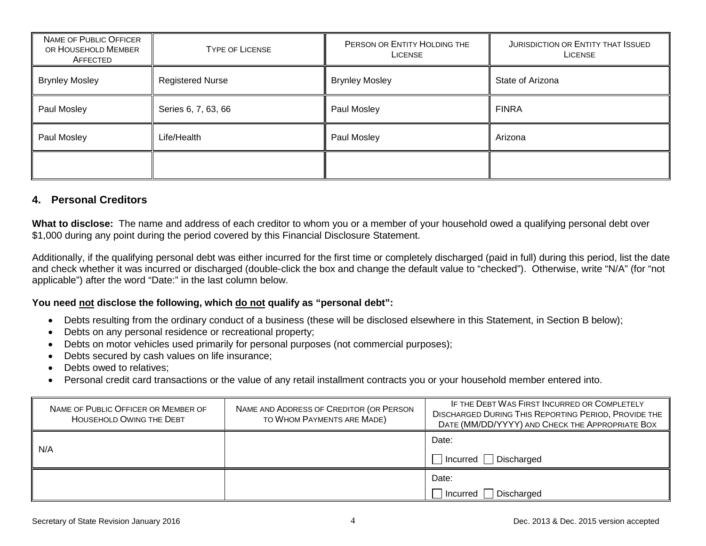| NAME OF PUBLIC OFFICER<br>OR HOUSEHOLD MEMBER<br>AFFECTED | <b>TYPE OF LICENSE</b>  | PERSON OR ENTITY HOLDING THE<br><b>LICENSE</b> | JURISDICTION OR ENTITY THAT ISSUED<br><b>LICENSE</b> |
|-----------------------------------------------------------|-------------------------|------------------------------------------------|------------------------------------------------------|
| <b>Brynley Mosley</b>                                     | <b>Registered Nurse</b> | <b>Brynley Mosley</b>                          | State of Arizona                                     |
| Paul Mosley                                               | Series 6, 7, 63, 66     | Paul Mosley                                    | <b>FINRA</b>                                         |
| Paul Mosley                                               | Life/Health             | Paul Mosley                                    | Arizona                                              |
|                                                           |                         |                                                |                                                      |

### **4. Personal Creditors**

**What to disclose:** The name and address of each creditor to whom you or a member of your household owed a qualifying personal debt over \$1,000 during any point during the period covered by this Financial Disclosure Statement.

Additionally, if the qualifying personal debt was either incurred for the first time or completely discharged (paid in full) during this period, list the date and check whether it was incurred or discharged (double-click the box and change the default value to "checked"). Otherwise, write "N/A" (for "not applicable") after the word "Date:" in the last column below.

#### **You need not disclose the following, which do not qualify as "personal debt":**

- Debts resulting from the ordinary conduct of a business (these will be disclosed elsewhere in this Statement, in Section B below);
- Debts on any personal residence or recreational property;
- Debts on motor vehicles used primarily for personal purposes (not commercial purposes);
- Debts secured by cash values on life insurance;
- Debts owed to relatives:
- Personal credit card transactions or the value of any retail installment contracts you or your household member entered into.

| NAME OF PUBLIC OFFICER OR MEMBER OF<br><b>HOUSEHOLD OWING THE DEBT</b> | NAME AND ADDRESS OF CREDITOR (OR PERSON<br>TO WHOM PAYMENTS ARE MADE) | IF THE DEBT WAS FIRST INCURRED OR COMPLETELY<br><b>DISCHARGED DURING THIS REPORTING PERIOD, PROVIDE THE</b><br>DATE (MM/DD/YYYY) AND CHECK THE APPROPRIATE BOX |
|------------------------------------------------------------------------|-----------------------------------------------------------------------|----------------------------------------------------------------------------------------------------------------------------------------------------------------|
|                                                                        |                                                                       | Date:                                                                                                                                                          |
| N/A                                                                    |                                                                       | □ Incurred [ Discharged                                                                                                                                        |
|                                                                        |                                                                       | Date:                                                                                                                                                          |
|                                                                        |                                                                       | Discharged<br>  Incurred                                                                                                                                       |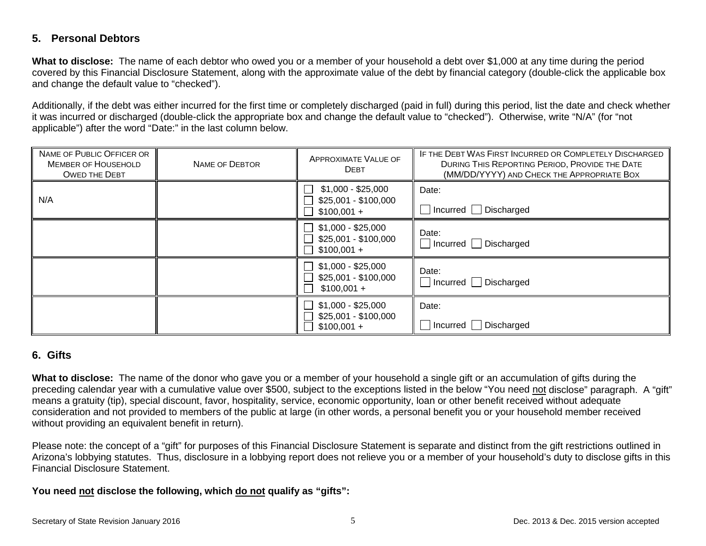### **5. Personal Debtors**

**What to disclose:** The name of each debtor who owed you or a member of your household a debt over \$1,000 at any time during the period covered by this Financial Disclosure Statement, along with the approximate value of the debt by financial category (double-click the applicable box and change the default value to "checked").

Additionally, if the debt was either incurred for the first time or completely discharged (paid in full) during this period, list the date and check whether it was incurred or discharged (double-click the appropriate box and change the default value to "checked"). Otherwise, write "N/A" (for "not applicable") after the word "Date:" in the last column below.

| NAME OF PUBLIC OFFICER OR<br><b>MEMBER OF HOUSEHOLD</b><br><b>OWED THE DEBT</b> | <b>NAME OF DEBTOR</b> | APPROXIMATE VALUE OF<br><b>DEBT</b>                                          | IF THE DEBT WAS FIRST INCURRED OR COMPLETELY DISCHARGED<br>DURING THIS REPORTING PERIOD, PROVIDE THE DATE<br>(MM/DD/YYYY) AND CHECK THE APPROPRIATE BOX |
|---------------------------------------------------------------------------------|-----------------------|------------------------------------------------------------------------------|---------------------------------------------------------------------------------------------------------------------------------------------------------|
| N/A                                                                             |                       | $$1,000 - $25,000$<br>\$25,001 - \$100,000<br>$$100,001 +$                   | Date:<br>□ Incurred □ Discharged                                                                                                                        |
|                                                                                 |                       | $$1,000 - $25,000$<br>\$25,001 - \$100,000<br>$$100,001 +$                   | Date:<br>$\Box$ Incurred $\Box$ Discharged                                                                                                              |
|                                                                                 |                       | $$1,000 - $25,000$<br>$\blacksquare$<br>\$25,001 - \$100,000<br>$$100,001 +$ | Date:<br>$\Box$ Incurred $\Box$ Discharged                                                                                                              |
|                                                                                 |                       | $$1,000 - $25,000$<br>$$25,001 - $100,000$<br>$$100,001 +$                   | Date:<br>$\Box$ Incurred $\Box$ Discharged                                                                                                              |

### **6. Gifts**

**What to disclose:** The name of the donor who gave you or a member of your household a single gift or an accumulation of gifts during the preceding calendar year with a cumulative value over \$500, subject to the exceptions listed in the below "You need not disclose" paragraph. A "gift" means a gratuity (tip), special discount, favor, hospitality, service, economic opportunity, loan or other benefit received without adequate consideration and not provided to members of the public at large (in other words, a personal benefit you or your household member received without providing an equivalent benefit in return).

Please note: the concept of a "gift" for purposes of this Financial Disclosure Statement is separate and distinct from the gift restrictions outlined in Arizona's lobbying statutes. Thus, disclosure in a lobbying report does not relieve you or a member of your household's duty to disclose gifts in this Financial Disclosure Statement.

#### **You need not disclose the following, which do not qualify as "gifts":**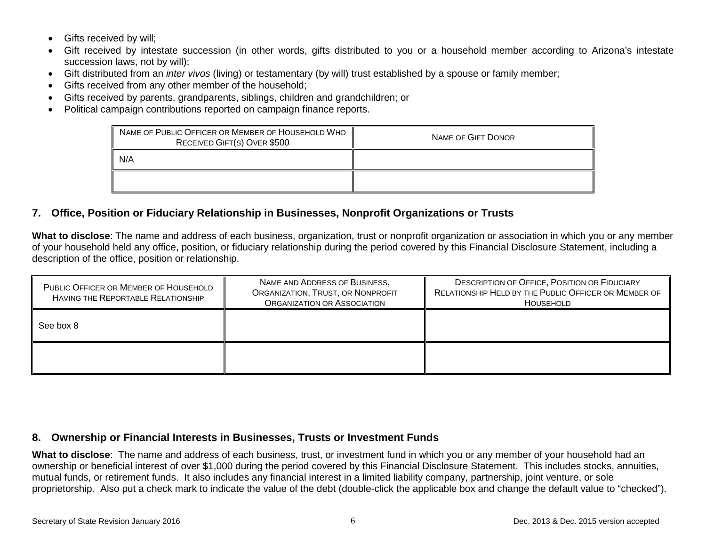- Gifts received by will;
- Gift received by intestate succession (in other words, gifts distributed to you or a household member according to Arizona's intestate succession laws, not by will);
- Gift distributed from an *inter vivos* (living) or testamentary (by will) trust established by a spouse or family member;
- Gifts received from any other member of the household;
- Gifts received by parents, grandparents, siblings, children and grandchildren; or
- Political campaign contributions reported on campaign finance reports.

| NAME OF PUBLIC OFFICER OR MEMBER OF HOUSEHOLD WHO<br>RECEIVED GIFT(S) OVER \$500 | <b>NAME OF GIFT DONOR</b> |
|----------------------------------------------------------------------------------|---------------------------|
| N/A                                                                              |                           |
|                                                                                  |                           |

### **7. Office, Position or Fiduciary Relationship in Businesses, Nonprofit Organizations or Trusts**

**What to disclose**: The name and address of each business, organization, trust or nonprofit organization or association in which you or any member of your household held any office, position, or fiduciary relationship during the period covered by this Financial Disclosure Statement, including a description of the office, position or relationship.

| PUBLIC OFFICER OR MEMBER OF HOUSEHOLD<br>HAVING THE REPORTABLE RELATIONSHIP | NAME AND ADDRESS OF BUSINESS,<br>ORGANIZATION, TRUST, OR NONPROFIT<br>ORGANIZATION OR ASSOCIATION | <b>DESCRIPTION OF OFFICE, POSITION OR FIDUCIARY</b><br>RELATIONSHIP HELD BY THE PUBLIC OFFICER OR MEMBER OF<br>HOUSEHOLD |
|-----------------------------------------------------------------------------|---------------------------------------------------------------------------------------------------|--------------------------------------------------------------------------------------------------------------------------|
| See box 8                                                                   |                                                                                                   |                                                                                                                          |
|                                                                             |                                                                                                   |                                                                                                                          |

### **8. Ownership or Financial Interests in Businesses, Trusts or Investment Funds**

**What to disclose**: The name and address of each business, trust, or investment fund in which you or any member of your household had an ownership or beneficial interest of over \$1,000 during the period covered by this Financial Disclosure Statement. This includes stocks, annuities, mutual funds, or retirement funds. It also includes any financial interest in a limited liability company, partnership, joint venture, or sole proprietorship. Also put a check mark to indicate the value of the debt (double-click the applicable box and change the default value to "checked").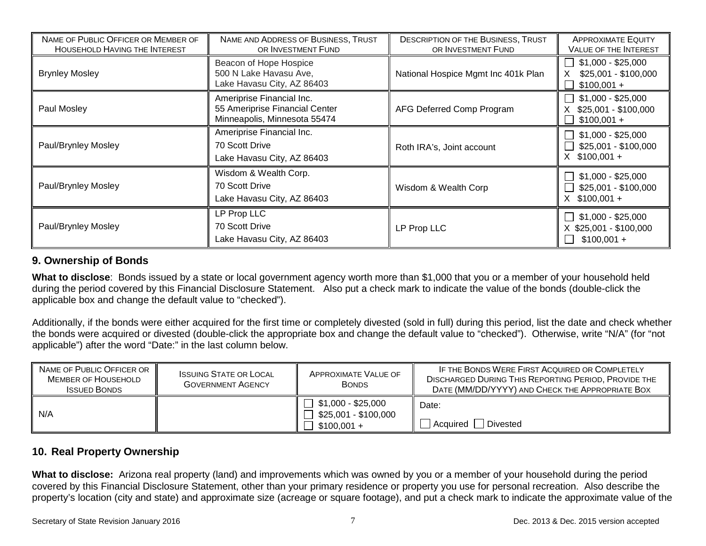| NAME OF PUBLIC OFFICER OR MEMBER OF<br><b>HOUSEHOLD HAVING THE INTEREST</b>                             | NAME AND ADDRESS OF BUSINESS, TRUST<br>OR INVESTMENT FUND                                   | <b>DESCRIPTION OF THE BUSINESS, TRUST</b><br>OR INVESTMENT FUND | <b>APPROXIMATE EQUITY</b><br>VALUE OF THE INTEREST            |
|---------------------------------------------------------------------------------------------------------|---------------------------------------------------------------------------------------------|-----------------------------------------------------------------|---------------------------------------------------------------|
| Beacon of Hope Hospice<br>500 N Lake Havasu Ave,<br><b>Brynley Mosley</b><br>Lake Havasu City, AZ 86403 |                                                                                             | National Hospice Mgmt Inc 401k Plan                             | $$1,000 - $25,000$<br>\$25,001 - \$100,000<br>$$100,001 +$    |
| Paul Mosley                                                                                             | Ameriprise Financial Inc.<br>55 Ameriprise Financial Center<br>Minneapolis, Minnesota 55474 | AFG Deferred Comp Program                                       | $$1,000 - $25,000$<br>\$25,001 - \$100,000<br>$$100,001 +$    |
| Paul/Brynley Mosley                                                                                     | Ameriprise Financial Inc.<br>70 Scott Drive<br>Lake Havasu City, AZ 86403                   | Roth IRA's, Joint account                                       | $$1,000 - $25,000$<br>\$25,001 - \$100,000<br>$X$ \$100,001 + |
| Paul/Brynley Mosley                                                                                     | Wisdom & Wealth Corp.<br>70 Scott Drive<br>Lake Havasu City, AZ 86403                       | Wisdom & Wealth Corp                                            | \$1,000 - \$25,000<br>\$25,001 - \$100,000<br>$X$ \$100,001 + |
| Paul/Brynley Mosley                                                                                     | LP Prop LLC<br>70 Scott Drive<br>Lake Havasu City, AZ 86403                                 | LP Prop LLC                                                     | $$1,000 - $25,000$<br>X \$25,001 - \$100,000<br>$$100,001 +$  |

### **9. Ownership of Bonds**

**What to disclose**: Bonds issued by a state or local government agency worth more than \$1,000 that you or a member of your household held during the period covered by this Financial Disclosure Statement. Also put a check mark to indicate the value of the bonds (double-click the applicable box and change the default value to "checked").

Additionally, if the bonds were either acquired for the first time or completely divested (sold in full) during this period, list the date and check whether the bonds were acquired or divested (double-click the appropriate box and change the default value to "checked"). Otherwise, write "N/A" (for "not applicable") after the word "Date:" in the last column below.

| NAME OF PUBLIC OFFICER OR<br><b>MEMBER OF HOUSEHOLD</b><br><b>ISSUED BONDS</b> | <b>ISSUING STATE OR LOCAL</b><br><b>GOVERNMENT AGENCY</b> | APPROXIMATE VALUE OF<br><b>BONDS</b>                                  | IF THE BONDS WERE FIRST ACQUIRED OR COMPLETELY<br><b>DISCHARGED DURING THIS REPORTING PERIOD, PROVIDE THE</b><br>DATE (MM/DD/YYYY) AND CHECK THE APPROPRIATE BOX |
|--------------------------------------------------------------------------------|-----------------------------------------------------------|-----------------------------------------------------------------------|------------------------------------------------------------------------------------------------------------------------------------------------------------------|
| N/A                                                                            |                                                           | $\sqrt{ }$ \$1,000 - \$25,000<br>$$25,001 - $100,000$<br>$$100,001 +$ | Date:<br>Divested<br>Acquired                                                                                                                                    |

### **10. Real Property Ownership**

**What to disclose:** Arizona real property (land) and improvements which was owned by you or a member of your household during the period covered by this Financial Disclosure Statement, other than your primary residence or property you use for personal recreation. Also describe the property's location (city and state) and approximate size (acreage or square footage), and put a check mark to indicate the approximate value of the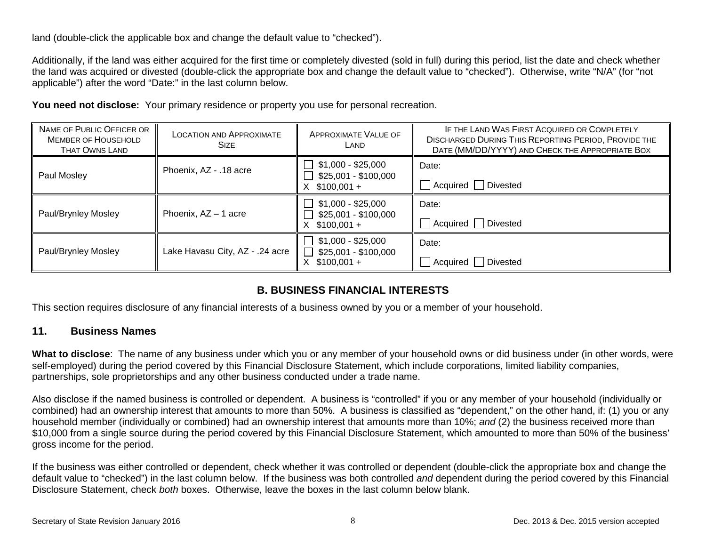land (double-click the applicable box and change the default value to "checked").

Additionally, if the land was either acquired for the first time or completely divested (sold in full) during this period, list the date and check whether the land was acquired or divested (double-click the appropriate box and change the default value to "checked"). Otherwise, write "N/A" (for "not applicable") after the word "Date:" in the last column below.

| NAME OF PUBLIC OFFICER OR<br><b>MEMBER OF HOUSEHOLD</b><br><b>THAT OWNS LAND</b> | <b>LOCATION AND APPROXIMATE</b><br><b>SIZE</b> | APPROXIMATE VALUE OF<br>LAND                                  | IF THE LAND WAS FIRST ACQUIRED OR COMPLETELY<br><b>DISCHARGED DURING THIS REPORTING PERIOD, PROVIDE THE</b><br>DATE (MM/DD/YYYY) AND CHECK THE APPROPRIATE BOX |
|----------------------------------------------------------------------------------|------------------------------------------------|---------------------------------------------------------------|----------------------------------------------------------------------------------------------------------------------------------------------------------------|
| Paul Mosley                                                                      | Phoenix, AZ - .18 acre                         | \$1,000 - \$25,000<br>\$25,001 - \$100,000<br>$X$ \$100,001 + | Date:<br>Acquired Divested                                                                                                                                     |
| Paul/Brynley Mosley                                                              | Phoenix, AZ - 1 acre                           | $$1,000 - $25,000$<br>$$25,001 - $100,000$<br>$X$ \$100,001 + | Date:<br>Acquired Divested                                                                                                                                     |
| Paul/Brynley Mosley                                                              | Lake Havasu City, AZ - .24 acre                | $$1,000 - $25,000$<br>\$25,001 - \$100,000<br>$$100,001 +$    | Date:<br>Acquired Divested                                                                                                                                     |

You need not disclose: Your primary residence or property you use for personal recreation.

### **B. BUSINESS FINANCIAL INTERESTS**

This section requires disclosure of any financial interests of a business owned by you or a member of your household.

### **11. Business Names**

**What to disclose**: The name of any business under which you or any member of your household owns or did business under (in other words, were self-employed) during the period covered by this Financial Disclosure Statement, which include corporations, limited liability companies, partnerships, sole proprietorships and any other business conducted under a trade name.

Also disclose if the named business is controlled or dependent. A business is "controlled" if you or any member of your household (individually or combined) had an ownership interest that amounts to more than 50%. A business is classified as "dependent," on the other hand, if: (1) you or any household member (individually or combined) had an ownership interest that amounts more than 10%; *and* (2) the business received more than \$10,000 from a single source during the period covered by this Financial Disclosure Statement, which amounted to more than 50% of the business' gross income for the period.

If the business was either controlled or dependent, check whether it was controlled or dependent (double-click the appropriate box and change the default value to "checked") in the last column below. If the business was both controlled *and* dependent during the period covered by this Financial Disclosure Statement, check *both* boxes. Otherwise, leave the boxes in the last column below blank.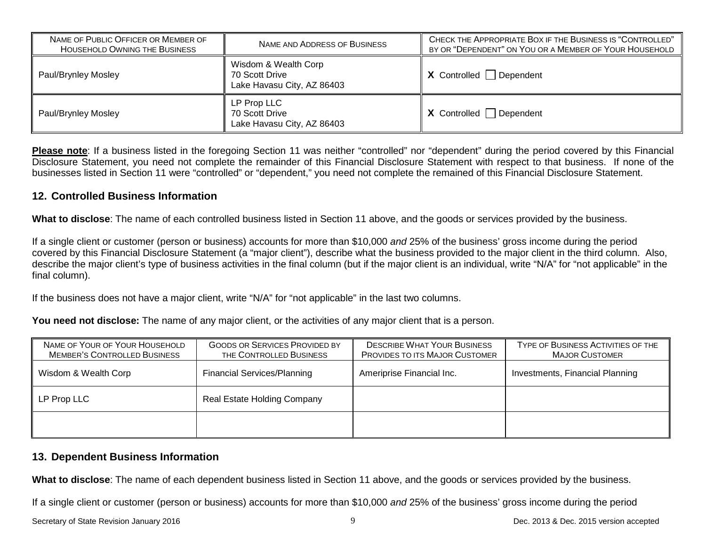| NAME OF PUBLIC OFFICER OR MEMBER OF<br><b>HOUSEHOLD OWNING THE BUSINESS</b> | NAME AND ADDRESS OF BUSINESS                                         | CHECK THE APPROPRIATE BOX IF THE BUSINESS IS "CONTROLLED"<br>BY OR "DEPENDENT" ON YOU OR A MEMBER OF YOUR HOUSEHOLD |
|-----------------------------------------------------------------------------|----------------------------------------------------------------------|---------------------------------------------------------------------------------------------------------------------|
| Paul/Brynley Mosley                                                         | Wisdom & Wealth Corp<br>70 Scott Drive<br>Lake Havasu City, AZ 86403 | $X$ Controlled Dependent                                                                                            |
| Paul/Brynley Mosley                                                         | LP Prop LLC<br>70 Scott Drive<br>Lake Havasu City, AZ 86403          | $X$ Controlled Dependent                                                                                            |

**Please note**: If a business listed in the foregoing Section 11 was neither "controlled" nor "dependent" during the period covered by this Financial Disclosure Statement, you need not complete the remainder of this Financial Disclosure Statement with respect to that business. If none of the businesses listed in Section 11 were "controlled" or "dependent," you need not complete the remained of this Financial Disclosure Statement.

### **12. Controlled Business Information**

**What to disclose**: The name of each controlled business listed in Section 11 above, and the goods or services provided by the business.

If a single client or customer (person or business) accounts for more than \$10,000 *and* 25% of the business' gross income during the period covered by this Financial Disclosure Statement (a "major client"), describe what the business provided to the major client in the third column. Also, describe the major client's type of business activities in the final column (but if the major client is an individual, write "N/A" for "not applicable" in the final column).

If the business does not have a major client, write "N/A" for "not applicable" in the last two columns.

**You need not disclose:** The name of any major client, or the activities of any major client that is a person.

| NAME OF YOUR OF YOUR HOUSEHOLD<br><b>MEMBER'S CONTROLLED BUSINESS</b> | <b>GOODS OR SERVICES PROVIDED BY</b><br>THE CONTROLLED BUSINESS | <b>DESCRIBE WHAT YOUR BUSINESS</b><br><b>PROVIDES TO ITS MAJOR CUSTOMER</b> | TYPE OF BUSINESS ACTIVITIES OF THE<br><b>MAJOR CUSTOMER</b> |
|-----------------------------------------------------------------------|-----------------------------------------------------------------|-----------------------------------------------------------------------------|-------------------------------------------------------------|
| Wisdom & Wealth Corp                                                  | <b>Financial Services/Planning</b>                              | Ameriprise Financial Inc.                                                   | Investments, Financial Planning                             |
| LP Prop LLC                                                           | Real Estate Holding Company                                     |                                                                             |                                                             |
|                                                                       |                                                                 |                                                                             |                                                             |

### **13. Dependent Business Information**

**What to disclose**: The name of each dependent business listed in Section 11 above, and the goods or services provided by the business.

If a single client or customer (person or business) accounts for more than \$10,000 *and* 25% of the business' gross income during the period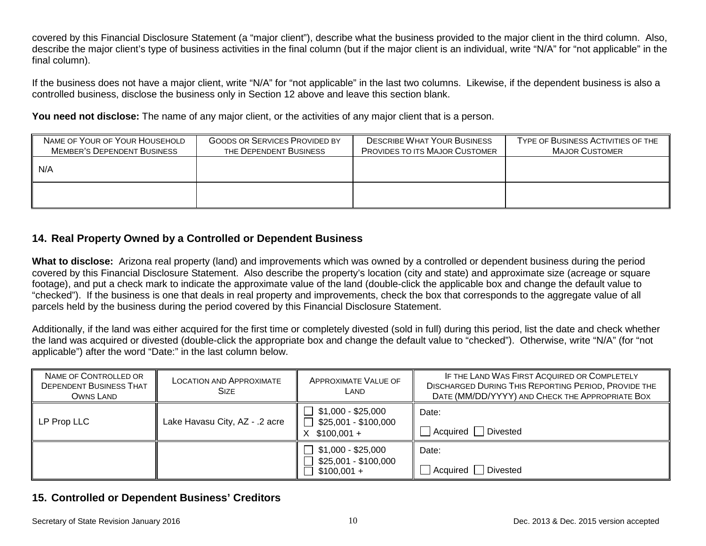covered by this Financial Disclosure Statement (a "major client"), describe what the business provided to the major client in the third column. Also, describe the major client's type of business activities in the final column (but if the major client is an individual, write "N/A" for "not applicable" in the final column).

If the business does not have a major client, write "N/A" for "not applicable" in the last two columns. Likewise, if the dependent business is also a controlled business, disclose the business only in Section 12 above and leave this section blank.

**You need not disclose:** The name of any major client, or the activities of any major client that is a person.

| NAME OF YOUR OF YOUR HOUSEHOLD<br><b>MEMBER'S DEPENDENT BUSINESS</b> | <b>GOODS OR SERVICES PROVIDED BY</b><br>THE DEPENDENT BUSINESS | <b>DESCRIBE WHAT YOUR BUSINESS</b><br><b>PROVIDES TO ITS MAJOR CUSTOMER</b> | TYPE OF BUSINESS ACTIVITIES OF THE<br><b>MAJOR CUSTOMER</b> |
|----------------------------------------------------------------------|----------------------------------------------------------------|-----------------------------------------------------------------------------|-------------------------------------------------------------|
| $\parallel$ N/A                                                      |                                                                |                                                                             |                                                             |
|                                                                      |                                                                |                                                                             |                                                             |

### **14. Real Property Owned by a Controlled or Dependent Business**

**What to disclose:** Arizona real property (land) and improvements which was owned by a controlled or dependent business during the period covered by this Financial Disclosure Statement. Also describe the property's location (city and state) and approximate size (acreage or square footage), and put a check mark to indicate the approximate value of the land (double-click the applicable box and change the default value to "checked"). If the business is one that deals in real property and improvements, check the box that corresponds to the aggregate value of all parcels held by the business during the period covered by this Financial Disclosure Statement.

Additionally, if the land was either acquired for the first time or completely divested (sold in full) during this period, list the date and check whether the land was acquired or divested (double-click the appropriate box and change the default value to "checked"). Otherwise, write "N/A" (for "not applicable") after the word "Date:" in the last column below.

| NAME OF CONTROLLED OR<br><b>DEPENDENT BUSINESS THAT</b><br>OWNS LAND | <b>LOCATION AND APPROXIMATE</b><br><b>SIZE</b> | <b>APPROXIMATE VALUE OF</b><br>LAND                                        | IF THE LAND WAS FIRST ACQUIRED OR COMPLETELY<br><b>DISCHARGED DURING THIS REPORTING PERIOD, PROVIDE THE</b><br>DATE (MM/DD/YYYY) AND CHECK THE APPROPRIATE BOX |
|----------------------------------------------------------------------|------------------------------------------------|----------------------------------------------------------------------------|----------------------------------------------------------------------------------------------------------------------------------------------------------------|
| LP Prop LLC                                                          | Lake Havasu City, AZ - .2 acre                 | $$1,000 - $25,000$<br>\$25,001 - \$100,000<br>$$100,001 +$<br>$\mathsf{X}$ | Date:<br>Divested<br>Acquired                                                                                                                                  |
|                                                                      |                                                | \$1,000 - \$25,000<br>\$25,001 - \$100,000<br>$$100,001 +$                 | Date:<br>Divested<br>Acquired                                                                                                                                  |

# **15. Controlled or Dependent Business' Creditors**